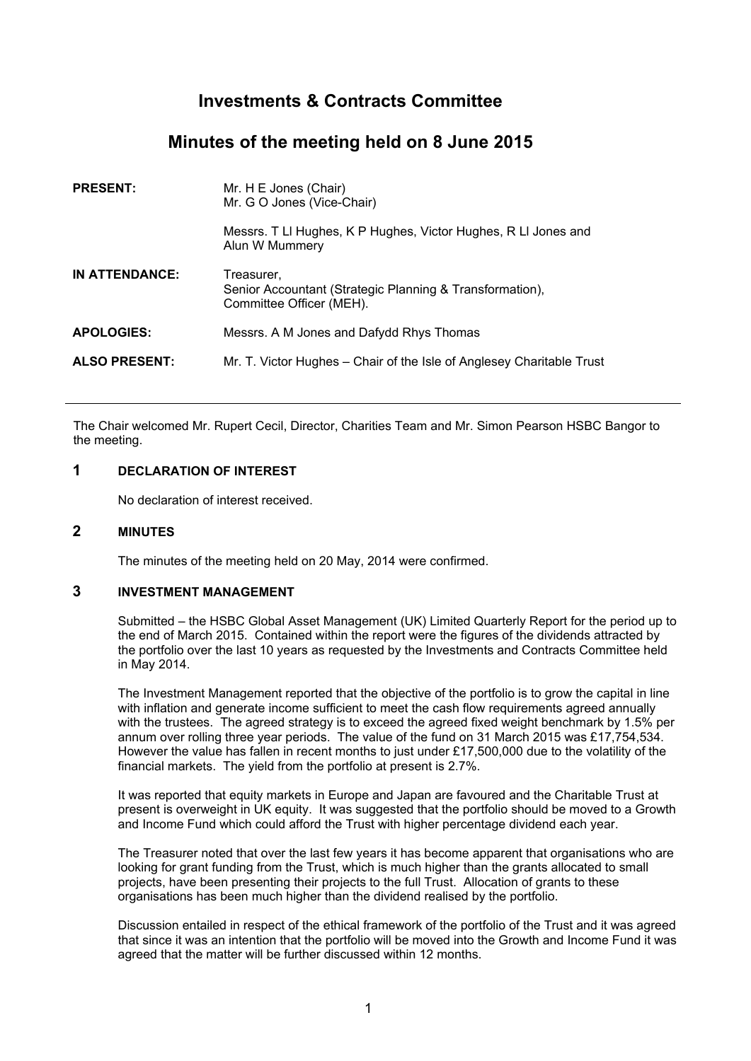# **Investments & Contracts Committee**

# **Minutes of the meeting held on 8 June 2015**

| <b>PRESENT:</b>      | Mr. H E Jones (Chair)<br>Mr. G O Jones (Vice-Chair)                                                |
|----------------------|----------------------------------------------------------------------------------------------------|
|                      | Messrs. T LI Hughes, K P Hughes, Victor Hughes, R LI Jones and<br>Alun W Mummery                   |
| IN ATTENDANCE:       | Treasurer.<br>Senior Accountant (Strategic Planning & Transformation),<br>Committee Officer (MEH). |
| <b>APOLOGIES:</b>    | Messrs. A M Jones and Dafydd Rhys Thomas                                                           |
| <b>ALSO PRESENT:</b> | Mr. T. Victor Hughes – Chair of the Isle of Anglesey Charitable Trust                              |

The Chair welcomed Mr. Rupert Cecil, Director, Charities Team and Mr. Simon Pearson HSBC Bangor to the meeting.

### **1 DECLARATION OF INTEREST**

No declaration of interest received.

## **2 MINUTES**

The minutes of the meeting held on 20 May, 2014 were confirmed.

## **3 INVESTMENT MANAGEMENT**

Submitted – the HSBC Global Asset Management (UK) Limited Quarterly Report for the period up to the end of March 2015. Contained within the report were the figures of the dividends attracted by the portfolio over the last 10 years as requested by the Investments and Contracts Committee held in May 2014.

The Investment Management reported that the objective of the portfolio is to grow the capital in line with inflation and generate income sufficient to meet the cash flow requirements agreed annually with the trustees. The agreed strategy is to exceed the agreed fixed weight benchmark by 1.5% per annum over rolling three year periods. The value of the fund on 31 March 2015 was £17,754,534. However the value has fallen in recent months to just under £17,500,000 due to the volatility of the financial markets. The yield from the portfolio at present is 2.7%.

It was reported that equity markets in Europe and Japan are favoured and the Charitable Trust at present is overweight in UK equity. It was suggested that the portfolio should be moved to a Growth and Income Fund which could afford the Trust with higher percentage dividend each year.

The Treasurer noted that over the last few years it has become apparent that organisations who are looking for grant funding from the Trust, which is much higher than the grants allocated to small projects, have been presenting their projects to the full Trust. Allocation of grants to these organisations has been much higher than the dividend realised by the portfolio.

Discussion entailed in respect of the ethical framework of the portfolio of the Trust and it was agreed that since it was an intention that the portfolio will be moved into the Growth and Income Fund it was agreed that the matter will be further discussed within 12 months.